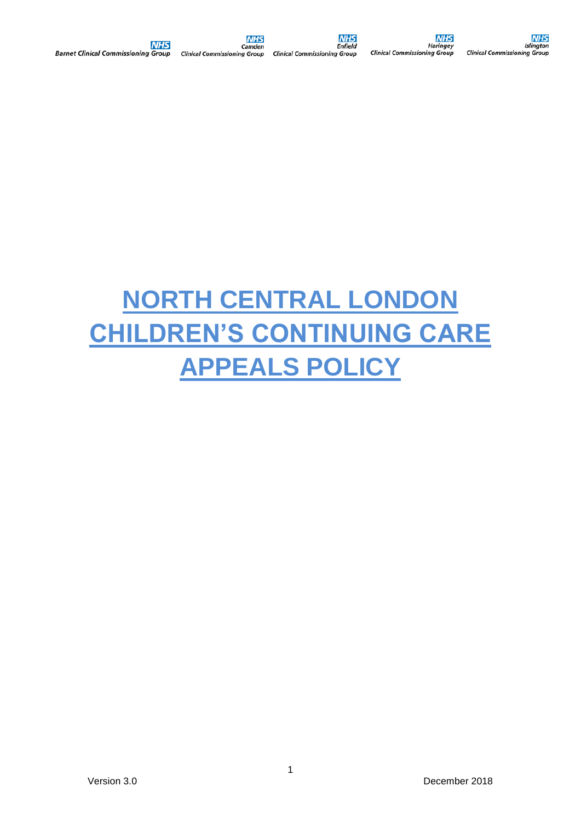# **NORTH CENTRAL LONDON CHILDREN'S CONTINUING CARE APPEALS POLICY**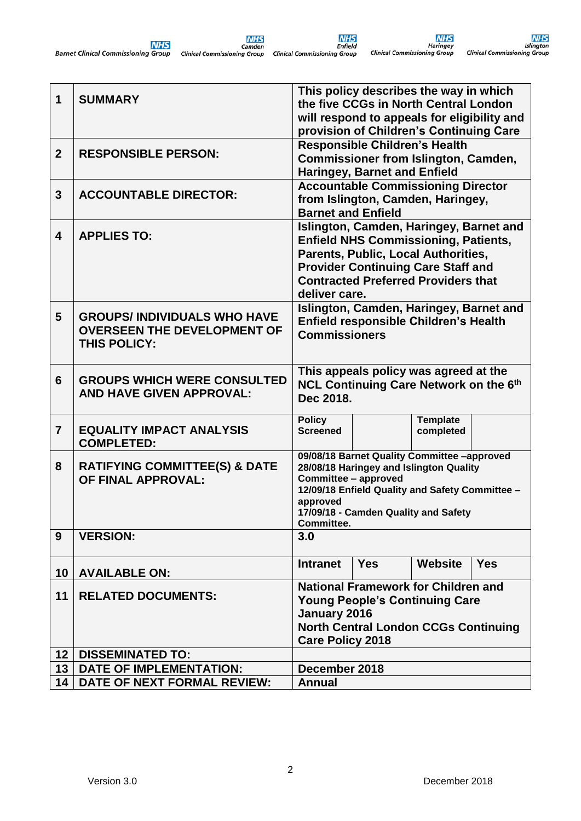| $\mathbf 1$    | <b>SUMMARY</b>                                                                           |                                                                                                                                                                                                                                           |            | This policy describes the way in which<br>the five CCGs in North Central London<br>will respond to appeals for eligibility and<br>provision of Children's Continuing Care |            |  |  |  |
|----------------|------------------------------------------------------------------------------------------|-------------------------------------------------------------------------------------------------------------------------------------------------------------------------------------------------------------------------------------------|------------|---------------------------------------------------------------------------------------------------------------------------------------------------------------------------|------------|--|--|--|
| $\overline{2}$ | <b>RESPONSIBLE PERSON:</b>                                                               | <b>Responsible Children's Health</b><br><b>Commissioner from Islington, Camden,</b><br><b>Haringey, Barnet and Enfield</b>                                                                                                                |            |                                                                                                                                                                           |            |  |  |  |
| 3              | <b>ACCOUNTABLE DIRECTOR:</b>                                                             | <b>Barnet and Enfield</b>                                                                                                                                                                                                                 |            | <b>Accountable Commissioning Director</b><br>from Islington, Camden, Haringey,                                                                                            |            |  |  |  |
| 4              | <b>APPLIES TO:</b>                                                                       | Islington, Camden, Haringey, Barnet and<br><b>Enfield NHS Commissioning, Patients,</b><br>Parents, Public, Local Authorities,<br><b>Provider Continuing Care Staff and</b><br><b>Contracted Preferred Providers that</b><br>deliver care. |            |                                                                                                                                                                           |            |  |  |  |
| 5              | <b>GROUPS/INDIVIDUALS WHO HAVE</b><br><b>OVERSEEN THE DEVELOPMENT OF</b><br>THIS POLICY: | <b>Commissioners</b>                                                                                                                                                                                                                      |            | Islington, Camden, Haringey, Barnet and<br><b>Enfield responsible Children's Health</b>                                                                                   |            |  |  |  |
| 6              | <b>GROUPS WHICH WERE CONSULTED</b><br><b>AND HAVE GIVEN APPROVAL:</b>                    | Dec 2018.                                                                                                                                                                                                                                 |            | This appeals policy was agreed at the<br>NCL Continuing Care Network on the 6th                                                                                           |            |  |  |  |
| $\overline{7}$ | <b>EQUALITY IMPACT ANALYSIS</b><br><b>COMPLETED:</b>                                     | <b>Policy</b><br><b>Screened</b>                                                                                                                                                                                                          |            | <b>Template</b><br>completed                                                                                                                                              |            |  |  |  |
| 8              | <b>RATIFYING COMMITTEE(S) &amp; DATE</b><br>OF FINAL APPROVAL:                           | 09/08/18 Barnet Quality Committee -approved<br>28/08/18 Haringey and Islington Quality<br>Committee - approved<br>12/09/18 Enfield Quality and Safety Committee -<br>approved<br>17/09/18 - Camden Quality and Safety<br>Committee.       |            |                                                                                                                                                                           |            |  |  |  |
| 9              | <b>VERSION:</b>                                                                          | 3.0                                                                                                                                                                                                                                       |            |                                                                                                                                                                           |            |  |  |  |
| 10             | <b>AVAILABLE ON:</b>                                                                     | <b>Intranet</b>                                                                                                                                                                                                                           | <b>Yes</b> | <b>Website</b>                                                                                                                                                            | <b>Yes</b> |  |  |  |
| 11             | <b>RELATED DOCUMENTS:</b>                                                                | National Framework for Children and<br><b>Young People's Continuing Care</b><br>January 2016<br><b>North Central London CCGs Continuing</b><br><b>Care Policy 2018</b>                                                                    |            |                                                                                                                                                                           |            |  |  |  |
| 12             | <b>DISSEMINATED TO:</b>                                                                  |                                                                                                                                                                                                                                           |            |                                                                                                                                                                           |            |  |  |  |
| 13             | <b>DATE OF IMPLEMENTATION:</b>                                                           | December 2018                                                                                                                                                                                                                             |            |                                                                                                                                                                           |            |  |  |  |
| 14             | DATE OF NEXT FORMAL REVIEW:                                                              | <b>Annual</b>                                                                                                                                                                                                                             |            |                                                                                                                                                                           |            |  |  |  |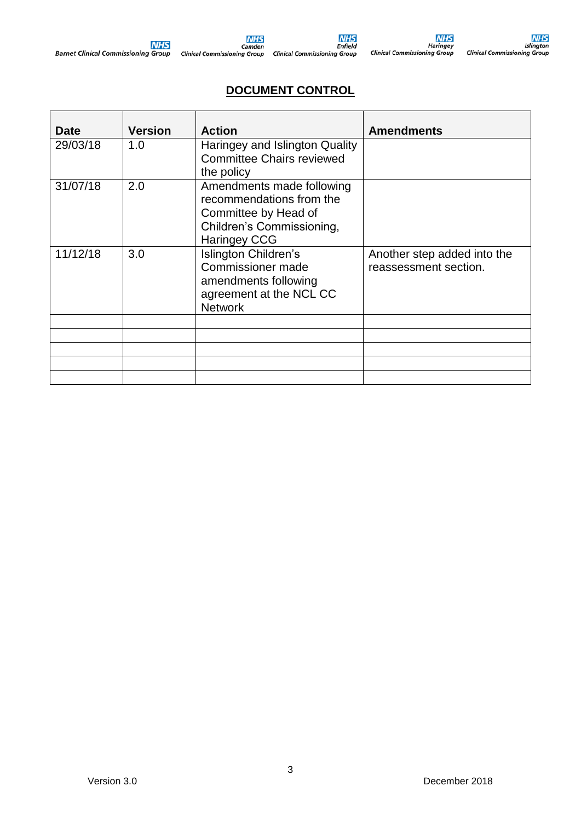# **DOCUMENT CONTROL**

| <b>Date</b> | <b>Version</b> | <b>Action</b>                                                                                                                     | <b>Amendments</b>                                    |
|-------------|----------------|-----------------------------------------------------------------------------------------------------------------------------------|------------------------------------------------------|
| 29/03/18    | 1.0            | Haringey and Islington Quality<br><b>Committee Chairs reviewed</b><br>the policy                                                  |                                                      |
| 31/07/18    | 2.0            | Amendments made following<br>recommendations from the<br>Committee by Head of<br>Children's Commissioning,<br><b>Haringey CCG</b> |                                                      |
| 11/12/18    | 3.0            | Islington Children's<br>Commissioner made<br>amendments following<br>agreement at the NCL CC<br><b>Network</b>                    | Another step added into the<br>reassessment section. |
|             |                |                                                                                                                                   |                                                      |
|             |                |                                                                                                                                   |                                                      |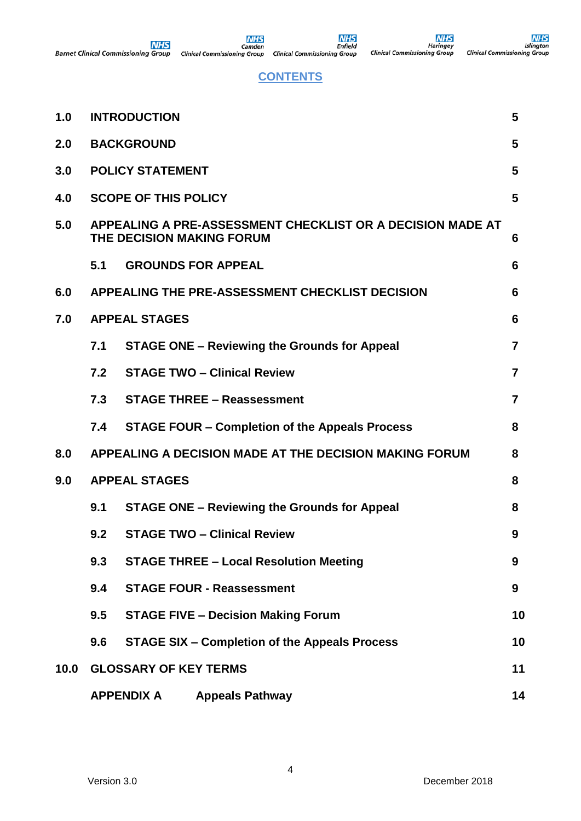# **CONTENTS**

| 1.0  |                         | <b>INTRODUCTION</b>                                                                     | 5              |  |  |  |  |  |  |  |  |
|------|-------------------------|-----------------------------------------------------------------------------------------|----------------|--|--|--|--|--|--|--|--|
| 2.0  | <b>BACKGROUND</b>       |                                                                                         |                |  |  |  |  |  |  |  |  |
| 3.0  | <b>POLICY STATEMENT</b> |                                                                                         |                |  |  |  |  |  |  |  |  |
| 4.0  |                         | <b>SCOPE OF THIS POLICY</b><br>5                                                        |                |  |  |  |  |  |  |  |  |
| 5.0  |                         | APPEALING A PRE-ASSESSMENT CHECKLIST OR A DECISION MADE AT<br>THE DECISION MAKING FORUM | 6              |  |  |  |  |  |  |  |  |
|      | 5.1                     | <b>GROUNDS FOR APPEAL</b>                                                               | 6              |  |  |  |  |  |  |  |  |
| 6.0  |                         | APPEALING THE PRE-ASSESSMENT CHECKLIST DECISION                                         | 6              |  |  |  |  |  |  |  |  |
| 7.0  |                         | <b>APPEAL STAGES</b>                                                                    | 6              |  |  |  |  |  |  |  |  |
|      | 7.1                     | <b>STAGE ONE - Reviewing the Grounds for Appeal</b>                                     | $\overline{7}$ |  |  |  |  |  |  |  |  |
|      | 7.2                     | <b>STAGE TWO - Clinical Review</b>                                                      | $\overline{7}$ |  |  |  |  |  |  |  |  |
|      | 7.3                     | <b>STAGE THREE - Reassessment</b>                                                       | $\overline{7}$ |  |  |  |  |  |  |  |  |
|      | 7.4                     | <b>STAGE FOUR – Completion of the Appeals Process</b>                                   | 8              |  |  |  |  |  |  |  |  |
| 8.0  |                         | APPEALING A DECISION MADE AT THE DECISION MAKING FORUM                                  | 8              |  |  |  |  |  |  |  |  |
| 9.0  |                         | <b>APPEAL STAGES</b>                                                                    | 8              |  |  |  |  |  |  |  |  |
|      | 9.1                     | <b>STAGE ONE - Reviewing the Grounds for Appeal</b>                                     | 8              |  |  |  |  |  |  |  |  |
|      | 9.2                     | <b>STAGE TWO - Clinical Review</b>                                                      | 9              |  |  |  |  |  |  |  |  |
|      | 9.3                     | <b>STAGE THREE - Local Resolution Meeting</b>                                           | 9              |  |  |  |  |  |  |  |  |
|      | 9.4                     | <b>STAGE FOUR - Reassessment</b>                                                        | 9              |  |  |  |  |  |  |  |  |
|      | 9.5                     | <b>STAGE FIVE - Decision Making Forum</b>                                               | 10             |  |  |  |  |  |  |  |  |
|      | 9.6                     | <b>STAGE SIX - Completion of the Appeals Process</b>                                    | 10             |  |  |  |  |  |  |  |  |
| 10.0 |                         | <b>GLOSSARY OF KEY TERMS</b>                                                            | 11             |  |  |  |  |  |  |  |  |
|      |                         | <b>APPENDIX A</b><br><b>Appeals Pathway</b>                                             | 14             |  |  |  |  |  |  |  |  |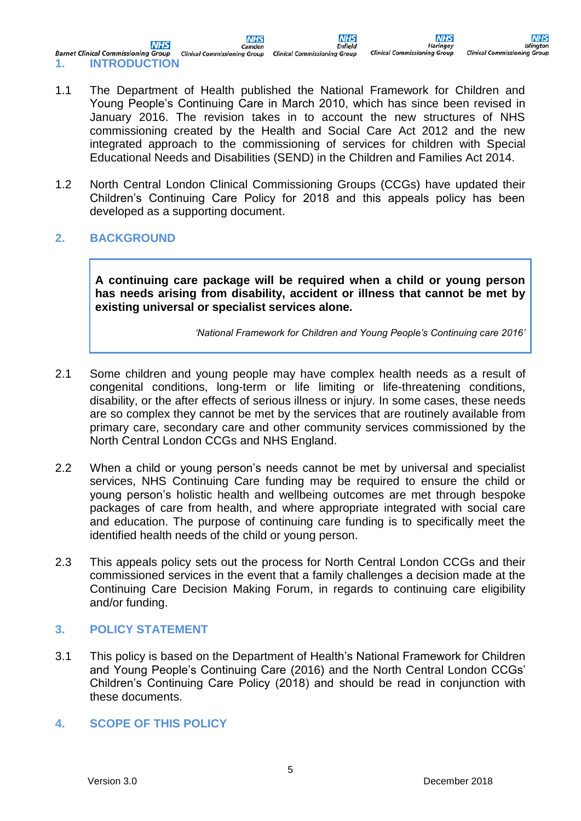**NHS NHS** Camder **Barnet Clinical Commissioning Group Clinical Commissioning Group Clinical Commissioning Group 1. INTRODUCTION** 

**NHS** Haringe **Clinical Commissioning Group** 

**NHS** 

Enfield

- 1.1 The Department of Health published the National Framework for Children and Young People's Continuing Care in March 2010, which has since been revised in January 2016. The revision takes in to account the new structures of NHS commissioning created by the Health and Social Care Act 2012 and the new integrated approach to the commissioning of services for children with Special Educational Needs and Disabilities (SEND) in the Children and Families Act 2014.
- 1.2 North Central London Clinical Commissioning Groups (CCGs) have updated their Children's Continuing Care Policy for 2018 and this appeals policy has been developed as a supporting document.
- **2. BACKGROUND**

**A continuing care package will be required when a child or young person has needs arising from disability, accident or illness that cannot be met by existing universal or specialist services alone.**

*'National Framework for Children and Young People's Continuing care 2016'*

- 2.1 Some children and young people may have complex health needs as a result of congenital conditions, long-term or life limiting or life-threatening conditions, disability, or the after effects of serious illness or injury. In some cases, these needs are so complex they cannot be met by the services that are routinely available from primary care, secondary care and other community services commissioned by the North Central London CCGs and NHS England.
- 2.2 When a child or young person's needs cannot be met by universal and specialist services, NHS Continuing Care funding may be required to ensure the child or young person's holistic health and wellbeing outcomes are met through bespoke packages of care from health, and where appropriate integrated with social care and education. The purpose of continuing care funding is to specifically meet the identified health needs of the child or young person.
- 2.3 This appeals policy sets out the process for North Central London CCGs and their commissioned services in the event that a family challenges a decision made at the Continuing Care Decision Making Forum, in regards to continuing care eligibility and/or funding.

#### **3. POLICY STATEMENT**

3.1 This policy is based on the Department of Health's National Framework for Children and Young People's Continuing Care (2016) and the North Central London CCGs' Children's Continuing Care Policy (2018) and should be read in conjunction with these documents.

#### **4. SCOPE OF THIS POLICY**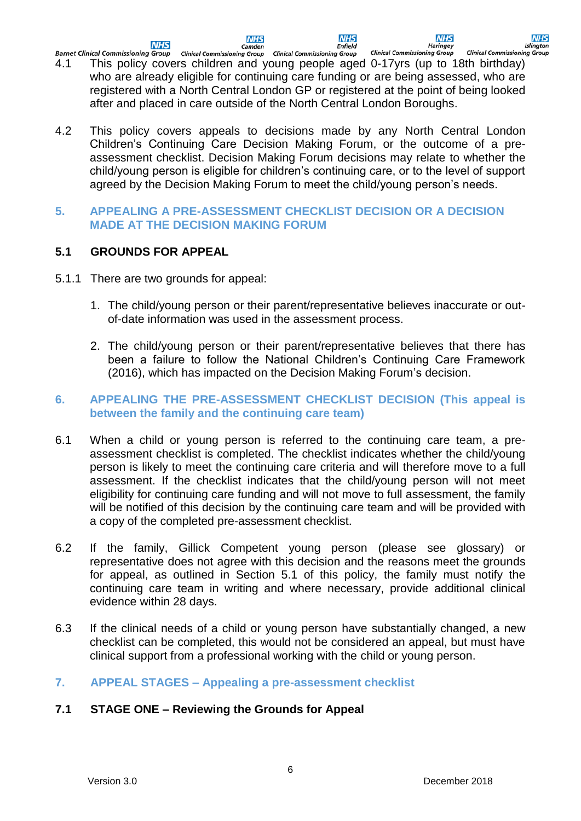**NHS Enfield**  **NHS** 

**NHS** 

**Islington** 

- Haringey<br>Clinical Commissioning Group Clinical Commissioning Group **Barnet Clinical Commissioning Group Clinical Commissioning Group Clinical Commissioning Group** 4.1 This policy covers children and young people aged 0-17yrs (up to 18th birthday) who are already eligible for continuing care funding or are being assessed, who are registered with a North Central London GP or registered at the point of being looked after and placed in care outside of the North Central London Boroughs.
- 4.2 This policy covers appeals to decisions made by any North Central London Children's Continuing Care Decision Making Forum, or the outcome of a preassessment checklist. Decision Making Forum decisions may relate to whether the child/young person is eligible for children's continuing care, or to the level of support agreed by the Decision Making Forum to meet the child/young person's needs.

#### **5. APPEALING A PRE-ASSESSMENT CHECKLIST DECISION OR A DECISION MADE AT THE DECISION MAKING FORUM**

# **5.1 GROUNDS FOR APPEAL**

- 5.1.1 There are two grounds for appeal:
	- 1. The child/young person or their parent/representative believes inaccurate or outof-date information was used in the assessment process.
	- 2. The child/young person or their parent/representative believes that there has been a failure to follow the National Children's Continuing Care Framework (2016), which has impacted on the Decision Making Forum's decision.

#### **6. APPEALING THE PRE-ASSESSMENT CHECKLIST DECISION (This appeal is between the family and the continuing care team)**

- 6.1 When a child or young person is referred to the continuing care team, a preassessment checklist is completed. The checklist indicates whether the child/young person is likely to meet the continuing care criteria and will therefore move to a full assessment. If the checklist indicates that the child/young person will not meet eligibility for continuing care funding and will not move to full assessment, the family will be notified of this decision by the continuing care team and will be provided with a copy of the completed pre-assessment checklist.
- 6.2 If the family, Gillick Competent young person (please see glossary) or representative does not agree with this decision and the reasons meet the grounds for appeal, as outlined in Section 5.1 of this policy, the family must notify the continuing care team in writing and where necessary, provide additional clinical evidence within 28 days.
- 6.3 If the clinical needs of a child or young person have substantially changed, a new checklist can be completed, this would not be considered an appeal, but must have clinical support from a professional working with the child or young person.

# **7. APPEAL STAGES – Appealing a pre-assessment checklist**

# **7.1 STAGE ONE – Reviewing the Grounds for Appeal**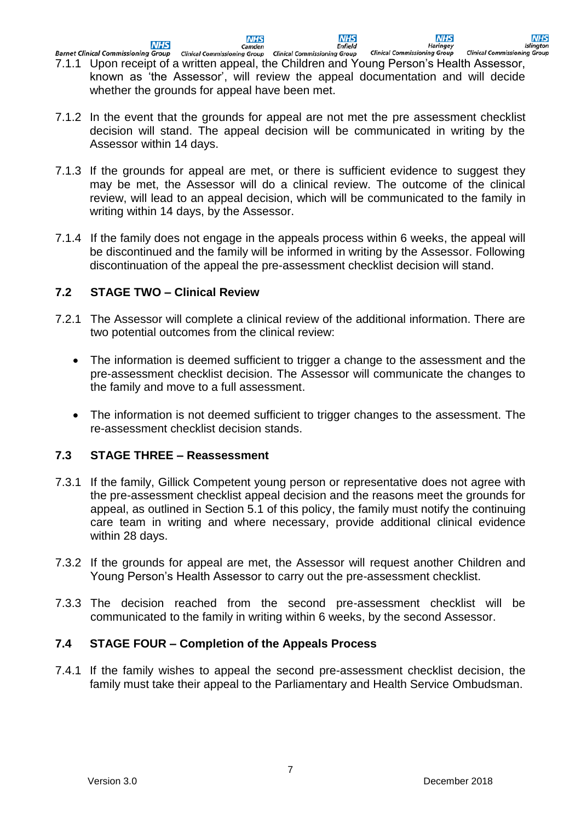**NHS** 

**NHS Enfield**  **NHS** 

**Islington** 

Haringey<br>Clinical Commissioning Group Barnet Clinical Commissioning Group Clinical Commissioning Group Clinical Commissioning Group **Clinical Commissioning Group** 7.1.1 Upon receipt of a written appeal, the Children and Young Person's Health Assessor, known as 'the Assessor', will review the appeal documentation and will decide whether the grounds for appeal have been met.

**NHS** 

Camden

- 7.1.2 In the event that the grounds for appeal are not met the pre assessment checklist decision will stand. The appeal decision will be communicated in writing by the Assessor within 14 days.
- 7.1.3 If the grounds for appeal are met, or there is sufficient evidence to suggest they may be met, the Assessor will do a clinical review. The outcome of the clinical review, will lead to an appeal decision, which will be communicated to the family in writing within 14 days, by the Assessor.
- 7.1.4 If the family does not engage in the appeals process within 6 weeks, the appeal will be discontinued and the family will be informed in writing by the Assessor. Following discontinuation of the appeal the pre-assessment checklist decision will stand.

# **7.2 STAGE TWO – Clinical Review**

- 7.2.1 The Assessor will complete a clinical review of the additional information. There are two potential outcomes from the clinical review:
	- The information is deemed sufficient to trigger a change to the assessment and the pre-assessment checklist decision. The Assessor will communicate the changes to the family and move to a full assessment.
	- The information is not deemed sufficient to trigger changes to the assessment. The re-assessment checklist decision stands.

#### **7.3 STAGE THREE – Reassessment**

- 7.3.1 If the family, Gillick Competent young person or representative does not agree with the pre-assessment checklist appeal decision and the reasons meet the grounds for appeal, as outlined in Section 5.1 of this policy, the family must notify the continuing care team in writing and where necessary, provide additional clinical evidence within 28 days.
- 7.3.2 If the grounds for appeal are met, the Assessor will request another Children and Young Person's Health Assessor to carry out the pre-assessment checklist.
- 7.3.3 The decision reached from the second pre-assessment checklist will be communicated to the family in writing within 6 weeks, by the second Assessor.

#### **7.4 STAGE FOUR – Completion of the Appeals Process**

7.4.1 If the family wishes to appeal the second pre-assessment checklist decision, the family must take their appeal to the Parliamentary and Health Service Ombudsman.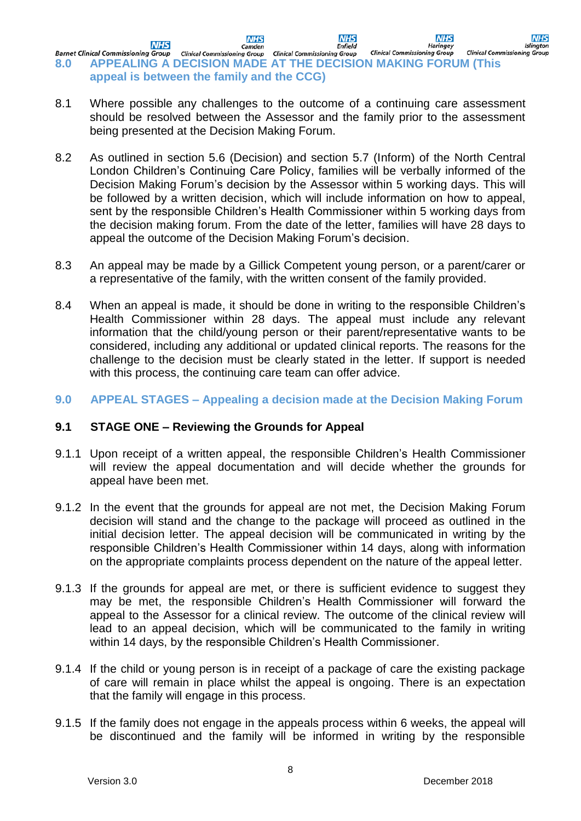**NHS NHS NHS NHS NHS** Camden Enfield Haringey Islinaton **Barnet Clinical Commissioning Group** Clinical Commissioning Group Clinical Commissioning Group Clinical Commissioning Group Clinical Commission Clinical Commission Clinical Commission Clinical Commission Clinical Commissi **Barnet Clinical Commissioning Group Clinical Commissioning Group Clinical Commissioning Group appeal is between the family and the CCG)**

- 8.1 Where possible any challenges to the outcome of a continuing care assessment should be resolved between the Assessor and the family prior to the assessment being presented at the Decision Making Forum.
- 8.2 As outlined in section 5.6 (Decision) and section 5.7 (Inform) of the North Central London Children's Continuing Care Policy, families will be verbally informed of the Decision Making Forum's decision by the Assessor within 5 working days. This will be followed by a written decision, which will include information on how to appeal, sent by the responsible Children's Health Commissioner within 5 working days from the decision making forum. From the date of the letter, families will have 28 days to appeal the outcome of the Decision Making Forum's decision.
- 8.3 An appeal may be made by a Gillick Competent young person, or a parent/carer or a representative of the family, with the written consent of the family provided.
- 8.4 When an appeal is made, it should be done in writing to the responsible Children's Health Commissioner within 28 days. The appeal must include any relevant information that the child/young person or their parent/representative wants to be considered, including any additional or updated clinical reports. The reasons for the challenge to the decision must be clearly stated in the letter. If support is needed with this process, the continuing care team can offer advice.

#### **9.0 APPEAL STAGES – Appealing a decision made at the Decision Making Forum**

#### **9.1 STAGE ONE – Reviewing the Grounds for Appeal**

- 9.1.1 Upon receipt of a written appeal, the responsible Children's Health Commissioner will review the appeal documentation and will decide whether the grounds for appeal have been met.
- 9.1.2 In the event that the grounds for appeal are not met, the Decision Making Forum decision will stand and the change to the package will proceed as outlined in the initial decision letter. The appeal decision will be communicated in writing by the responsible Children's Health Commissioner within 14 days, along with information on the appropriate complaints process dependent on the nature of the appeal letter.
- 9.1.3 If the grounds for appeal are met, or there is sufficient evidence to suggest they may be met, the responsible Children's Health Commissioner will forward the appeal to the Assessor for a clinical review. The outcome of the clinical review will lead to an appeal decision, which will be communicated to the family in writing within 14 days, by the responsible Children's Health Commissioner.
- 9.1.4 If the child or young person is in receipt of a package of care the existing package of care will remain in place whilst the appeal is ongoing. There is an expectation that the family will engage in this process.
- 9.1.5 If the family does not engage in the appeals process within 6 weeks, the appeal will be discontinued and the family will be informed in writing by the responsible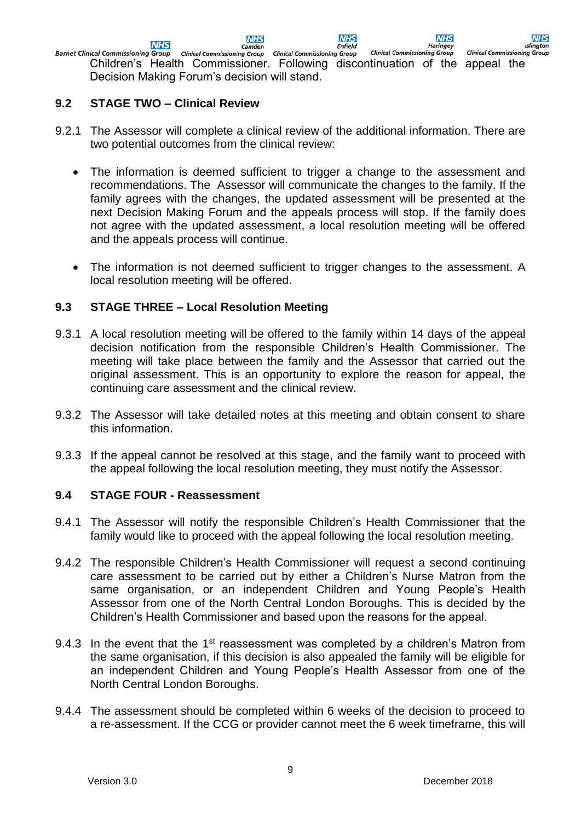**NHS NHS NHS NHS** Camden **Enfield Haringey Islington** ical Commissioning Group clinical Commissioning Group clinical Commissioning Group clinical Commissioning Group<br>Children's Health Commissioner. Following discontinuation of the appeal the **Barnet Clinical Commissioning Group Clinical Commissioning Group Clinical Commissioning Group** Decision Making Forum's decision will stand.

#### **9.2 STAGE TWO – Clinical Review**

- 9.2.1 The Assessor will complete a clinical review of the additional information. There are two potential outcomes from the clinical review:
	- The information is deemed sufficient to trigger a change to the assessment and recommendations. The Assessor will communicate the changes to the family. If the family agrees with the changes, the updated assessment will be presented at the next Decision Making Forum and the appeals process will stop. If the family does not agree with the updated assessment, a local resolution meeting will be offered and the appeals process will continue.
	- The information is not deemed sufficient to trigger changes to the assessment. A local resolution meeting will be offered.

#### **9.3 STAGE THREE – Local Resolution Meeting**

- 9.3.1 A local resolution meeting will be offered to the family within 14 days of the appeal decision notification from the responsible Children's Health Commissioner. The meeting will take place between the family and the Assessor that carried out the original assessment. This is an opportunity to explore the reason for appeal, the continuing care assessment and the clinical review.
- 9.3.2 The Assessor will take detailed notes at this meeting and obtain consent to share this information.
- 9.3.3 If the appeal cannot be resolved at this stage, and the family want to proceed with the appeal following the local resolution meeting, they must notify the Assessor.

#### **9.4 STAGE FOUR - Reassessment**

- 9.4.1 The Assessor will notify the responsible Children's Health Commissioner that the family would like to proceed with the appeal following the local resolution meeting.
- 9.4.2 The responsible Children's Health Commissioner will request a second continuing care assessment to be carried out by either a Children's Nurse Matron from the same organisation, or an independent Children and Young People's Health Assessor from one of the North Central London Boroughs. This is decided by the Children's Health Commissioner and based upon the reasons for the appeal.
- 9.4.3 In the event that the 1<sup>st</sup> reassessment was completed by a children's Matron from the same organisation, if this decision is also appealed the family will be eligible for an independent Children and Young People's Health Assessor from one of the North Central London Boroughs.
- 9.4.4 The assessment should be completed within 6 weeks of the decision to proceed to a re-assessment. If the CCG or provider cannot meet the 6 week timeframe, this will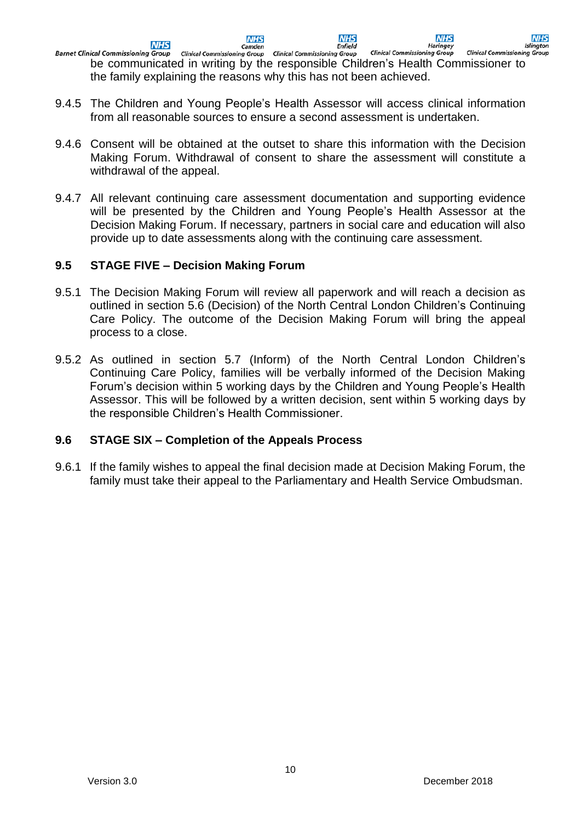**NHS NHS NHS NHS NHS** Camden **Enfield Haringey Islington** Camber<br>Clinical Commissioning Group Clinical Commissioning Group **Clinical Commissioning Group Clinical Commissioning Group Barnet Clinical Commissioning Group** be communicated in writing by the responsible Children's Health Commissioner to the family explaining the reasons why this has not been achieved.

- 9.4.5 The Children and Young People's Health Assessor will access clinical information from all reasonable sources to ensure a second assessment is undertaken.
- 9.4.6 Consent will be obtained at the outset to share this information with the Decision Making Forum. Withdrawal of consent to share the assessment will constitute a withdrawal of the appeal.
- 9.4.7 All relevant continuing care assessment documentation and supporting evidence will be presented by the Children and Young People's Health Assessor at the Decision Making Forum. If necessary, partners in social care and education will also provide up to date assessments along with the continuing care assessment.

#### **9.5 STAGE FIVE – Decision Making Forum**

- 9.5.1 The Decision Making Forum will review all paperwork and will reach a decision as outlined in section 5.6 (Decision) of the North Central London Children's Continuing Care Policy. The outcome of the Decision Making Forum will bring the appeal process to a close.
- 9.5.2 As outlined in section 5.7 (Inform) of the North Central London Children's Continuing Care Policy, families will be verbally informed of the Decision Making Forum's decision within 5 working days by the Children and Young People's Health Assessor. This will be followed by a written decision, sent within 5 working days by the responsible Children's Health Commissioner.

#### **9.6 STAGE SIX – Completion of the Appeals Process**

9.6.1 If the family wishes to appeal the final decision made at Decision Making Forum, the family must take their appeal to the Parliamentary and Health Service Ombudsman.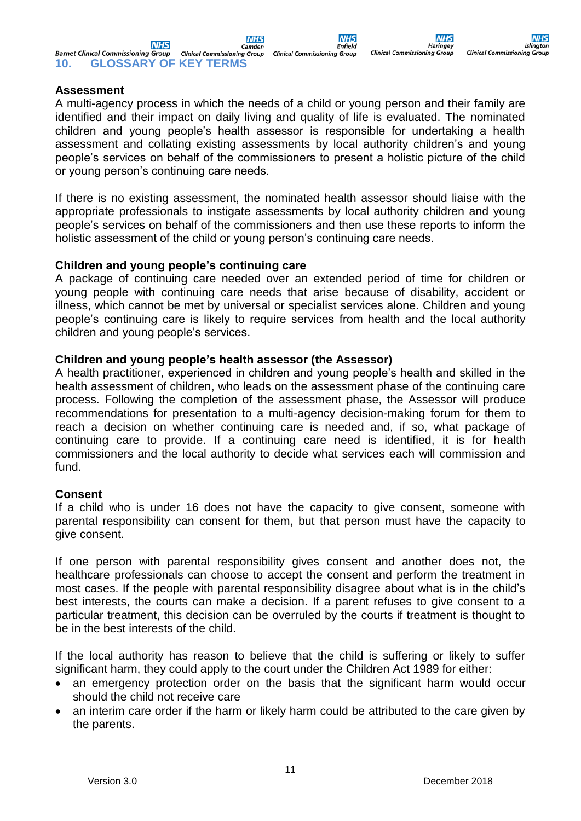**NHS** 

Haringe

**Clinical Commissioning Group** 

#### **Assessment**

A multi-agency process in which the needs of a child or young person and their family are identified and their impact on daily living and quality of life is evaluated. The nominated children and young people's health assessor is responsible for undertaking a health assessment and collating existing assessments by local authority children's and young people's services on behalf of the commissioners to present a holistic picture of the child or young person's continuing care needs.

If there is no existing assessment, the nominated health assessor should liaise with the appropriate professionals to instigate assessments by local authority children and young people's services on behalf of the commissioners and then use these reports to inform the holistic assessment of the child or young person's continuing care needs.

#### **Children and young people's continuing care**

A package of continuing care needed over an extended period of time for children or young people with continuing care needs that arise because of disability, accident or illness, which cannot be met by universal or specialist services alone. Children and young people's continuing care is likely to require services from health and the local authority children and young people's services.

#### **Children and young people's health assessor (the Assessor)**

A health practitioner, experienced in children and young people's health and skilled in the health assessment of children, who leads on the assessment phase of the continuing care process. Following the completion of the assessment phase, the Assessor will produce recommendations for presentation to a multi-agency decision-making forum for them to reach a decision on whether continuing care is needed and, if so, what package of continuing care to provide. If a continuing care need is identified, it is for health commissioners and the local authority to decide what services each will commission and fund.

#### **Consent**

If a child who is under 16 does not have the capacity to give consent, someone with parental responsibility can consent for them, but that person must have the capacity to give consent.

If one person with parental responsibility gives consent and another does not, the healthcare professionals can choose to accept the consent and perform the treatment in most cases. If the people with parental responsibility disagree about what is in the child's best interests, the courts can make a decision. If a parent refuses to give consent to a particular treatment, this decision can be overruled by the courts if treatment is thought to be in the best interests of the child.

If the local authority has reason to believe that the child is suffering or likely to suffer significant harm, they could apply to the court under the Children Act 1989 for either:

- an emergency protection order on the basis that the significant harm would occur should the child not receive care
- an interim care order if the harm or likely harm could be attributed to the care given by the parents.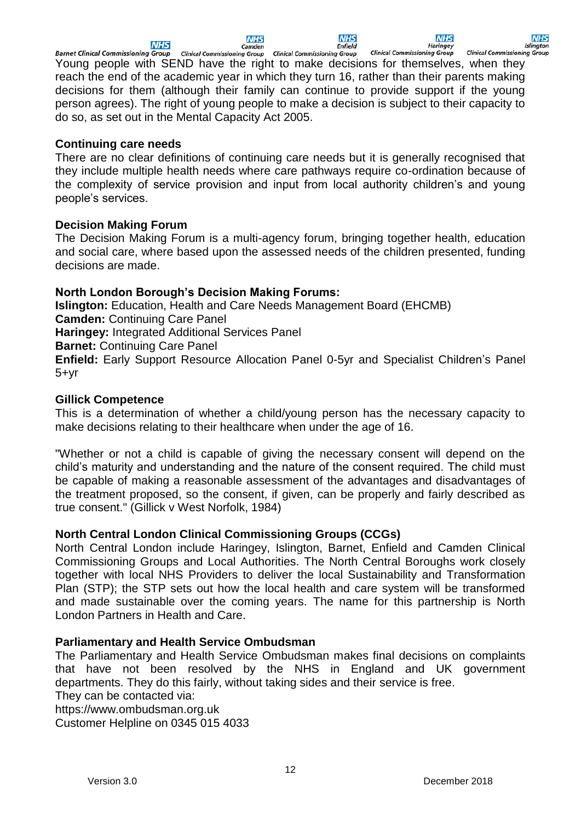**NHS** 

**NHS** Camden

**NHS Enfield**  Haringey

**NHS** Islinaton

Barnet Clinical Commissioning Group clinical Commissioning Group clinical Commissioning Group clinical Commissionin<br>Young people with SEND have the right to make decisions for themselves, when they **Barnet Clinical Commissioning Group Clinical Commissioning Group Clinical Commissioning Group** reach the end of the academic year in which they turn 16, rather than their parents making decisions for them (although their family can continue to provide support if the young person agrees). The right of young people to make a decision is subject to their capacity to do so, as set out in the Mental Capacity Act 2005.

# **Continuing care needs**

There are no clear definitions of continuing care needs but it is generally recognised that they include multiple health needs where care pathways require co-ordination because of the complexity of service provision and input from local authority children's and young people's services.

# **Decision Making Forum**

The Decision Making Forum is a multi-agency forum, bringing together health, education and social care, where based upon the assessed needs of the children presented, funding decisions are made.

# **North London Borough's Decision Making Forums:**

**Islington:** Education, Health and Care Needs Management Board (EHCMB) **Camden:** Continuing Care Panel **Haringey:** Integrated Additional Services Panel **Barnet:** Continuing Care Panel **Enfield:** Early Support Resource Allocation Panel 0-5yr and Specialist Children's Panel 5+yr

# **Gillick Competence**

This is a determination of whether a child/young person has the necessary capacity to make decisions relating to their healthcare when under the age of 16.

"Whether or not a child is capable of giving the necessary consent will depend on the child's maturity and understanding and the nature of the consent required. The child must be capable of making a reasonable assessment of the advantages and disadvantages of the treatment proposed, so the consent, if given, can be properly and fairly described as true consent." [\(Gillick v West Norfolk, 1984\)](https://www.nspcc.org.uk/preventing-abuse/child-protection-system/legal-definition-child-rights-law/gillick-competency-fraser-guidelines/#pageref11215)

#### **North Central London Clinical Commissioning Groups (CCGs)**

North Central London include Haringey, Islington, Barnet, Enfield and Camden Clinical Commissioning Groups and Local Authorities. The North Central Boroughs work closely together with local NHS Providers to deliver the local Sustainability and Transformation Plan (STP); the STP sets out how the local health and care system will be transformed and made sustainable over the coming years. The name for this partnership is North London Partners in Health and Care.

# **Parliamentary and Health Service Ombudsman**

The Parliamentary and Health Service Ombudsman makes final decisions on complaints that have not been resolved by the NHS in England and UK government departments. They do this fairly, without taking sides and their service is free.

They can be contacted via:

https://www.ombudsman.org.uk

Customer Helpline on 0345 015 4033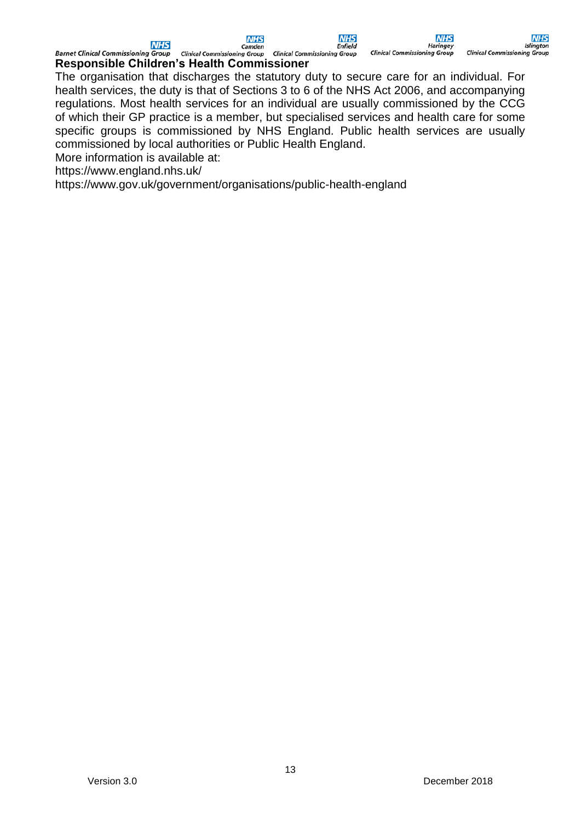**NHS Enfield** 

**Haringey Clinical Commissioning Group** 

**NHS** 

**Barnet Clinical Commissioning Group** Barnet Clinical Commissioning Group Clinical Commissioning Group Clinical Comm<br>Responsible Children's Health Commissioner **Clinical Commissioning Group** 

The organisation that discharges the statutory duty to secure care for an individual. For health services, the duty is that of Sections 3 to 6 of the NHS Act 2006, and accompanying regulations. Most health services for an individual are usually commissioned by the CCG of which their GP practice is a member, but specialised services and health care for some specific groups is commissioned by NHS England. Public health services are usually commissioned by local authorities or Public Health England.

More information is available at:

<https://www.england.nhs.uk/>

<https://www.gov.uk/government/organisations/public-health-england>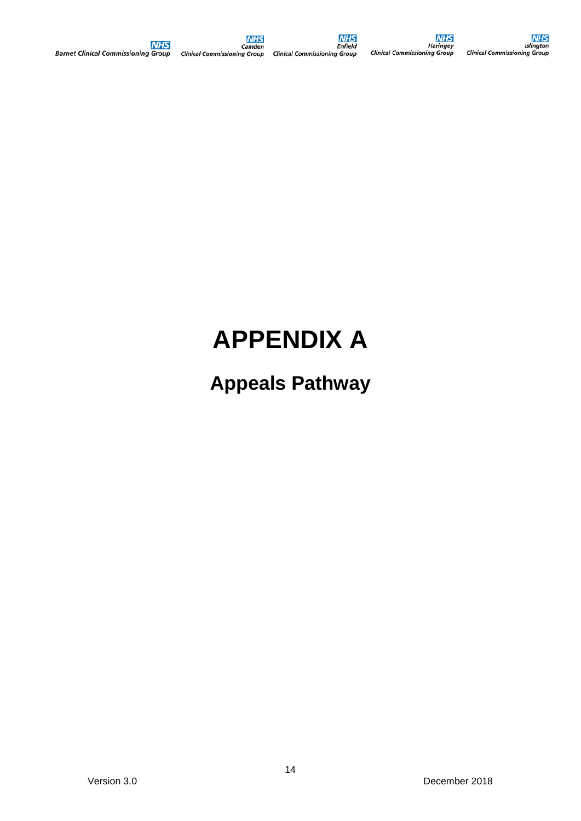# **APPENDIX A**

# **Appeals Pathway**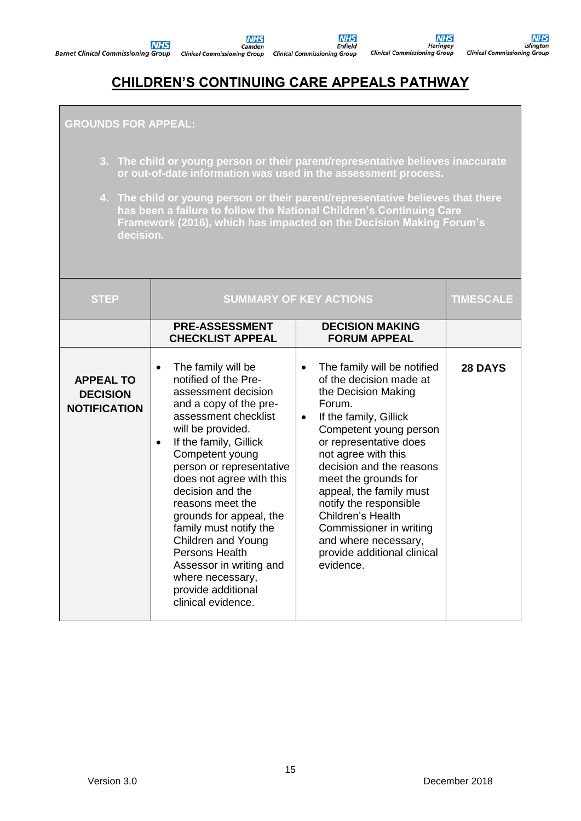**NHS Enfield Clinical Commissioning Group** 

**NHS Haringey**<br>Clinical Commissioning Group Islington<br>Clinical Commissioning Group

**NHS** 

# **CHILDREN'S CONTINUING CARE APPEALS PATHWAY**

#### **GROUNDS FOR APPEAL:**

- **3. The child or young person or their parent/representative believes inaccurate or out-of-date information was used in the assessment process.**
- **4. The child or young person or their parent/representative believes that there has been a failure to follow the National Children's Continuing Care Framework (2016), which has impacted on the Decision Making Forum's decision.**

| <b>STEP</b>                                                | <b>SUMMARY OF KEY ACTIONS</b>                                                                                                                                                                                                                                                                                                                                                                                                                                                                     | <b>TIMESCALE</b>                                                                                                                                                                                                                                                                                                                                                                                                                            |                |
|------------------------------------------------------------|---------------------------------------------------------------------------------------------------------------------------------------------------------------------------------------------------------------------------------------------------------------------------------------------------------------------------------------------------------------------------------------------------------------------------------------------------------------------------------------------------|---------------------------------------------------------------------------------------------------------------------------------------------------------------------------------------------------------------------------------------------------------------------------------------------------------------------------------------------------------------------------------------------------------------------------------------------|----------------|
|                                                            | <b>PRE-ASSESSMENT</b><br><b>CHECKLIST APPEAL</b>                                                                                                                                                                                                                                                                                                                                                                                                                                                  | <b>DECISION MAKING</b><br><b>FORUM APPEAL</b>                                                                                                                                                                                                                                                                                                                                                                                               |                |
| <b>APPEAL TO</b><br><b>DECISION</b><br><b>NOTIFICATION</b> | The family will be<br>$\bullet$<br>notified of the Pre-<br>assessment decision<br>and a copy of the pre-<br>assessment checklist<br>will be provided.<br>If the family, Gillick<br>Competent young<br>person or representative<br>does not agree with this<br>decision and the<br>reasons meet the<br>grounds for appeal, the<br>family must notify the<br><b>Children and Young</b><br>Persons Health<br>Assessor in writing and<br>where necessary,<br>provide additional<br>clinical evidence. | The family will be notified<br>٠<br>of the decision made at<br>the Decision Making<br>Forum.<br>If the family, Gillick<br>$\bullet$<br>Competent young person<br>or representative does<br>not agree with this<br>decision and the reasons<br>meet the grounds for<br>appeal, the family must<br>notify the responsible<br>Children's Health<br>Commissioner in writing<br>and where necessary,<br>provide additional clinical<br>evidence. | <b>28 DAYS</b> |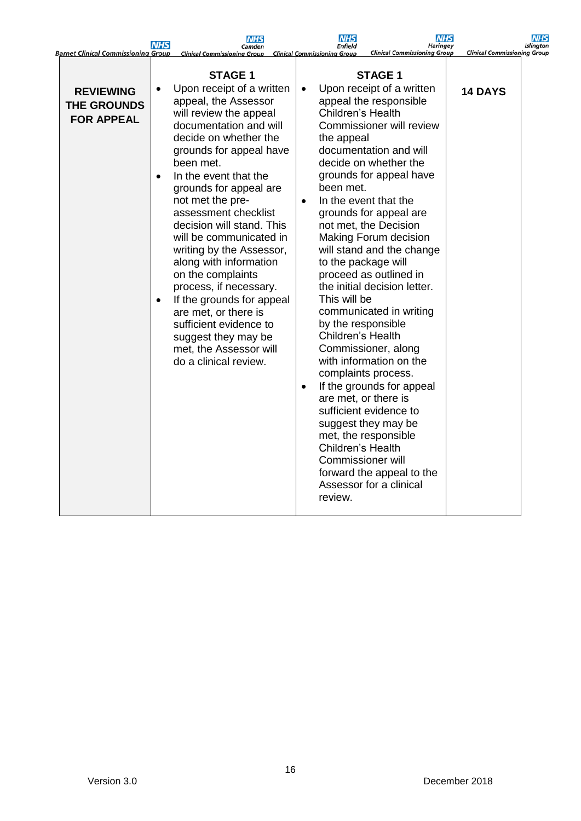| <b>Barnet Clinical Commissioning Group</b>                  | <b>NHS</b>                          | <b>NHS</b><br>Camden<br><b>Clinical Commissioning Group</b>                                                                                                                                                                                                                                                                                                                                                                                                                                                                                                                                                   |                        | <b>NHS</b><br><b>Enfield</b><br><b>Clinical Commissioning Group</b>                                                                                                 | NHS<br><b>Haringey</b><br><b>Clinical Commissioning Group</b>                                                                                                                                                                                                                                                                                                                                                                                                                                                                                                                                                                                                                                | <b>Clinical Commissioning Group</b> | <b>NHS</b><br><b>Islington</b> |
|-------------------------------------------------------------|-------------------------------------|---------------------------------------------------------------------------------------------------------------------------------------------------------------------------------------------------------------------------------------------------------------------------------------------------------------------------------------------------------------------------------------------------------------------------------------------------------------------------------------------------------------------------------------------------------------------------------------------------------------|------------------------|---------------------------------------------------------------------------------------------------------------------------------------------------------------------|----------------------------------------------------------------------------------------------------------------------------------------------------------------------------------------------------------------------------------------------------------------------------------------------------------------------------------------------------------------------------------------------------------------------------------------------------------------------------------------------------------------------------------------------------------------------------------------------------------------------------------------------------------------------------------------------|-------------------------------------|--------------------------------|
| <b>REVIEWING</b><br><b>THE GROUNDS</b><br><b>FOR APPEAL</b> | $\bullet$<br>$\bullet$<br>$\bullet$ | <b>STAGE 1</b><br>Upon receipt of a written<br>appeal, the Assessor<br>will review the appeal<br>documentation and will<br>decide on whether the<br>grounds for appeal have<br>been met.<br>In the event that the<br>grounds for appeal are<br>not met the pre-<br>assessment checklist<br>decision will stand. This<br>will be communicated in<br>writing by the Assessor,<br>along with information<br>on the complaints<br>process, if necessary.<br>If the grounds for appeal<br>are met, or there is<br>sufficient evidence to<br>suggest they may be<br>met, the Assessor will<br>do a clinical review. | $\bullet$<br>$\bullet$ | Children's Health<br>the appeal<br>been met.<br>This will be<br>by the responsible<br>Children's Health<br>Children's Health<br><b>Commissioner will</b><br>review. | <b>STAGE 1</b><br>Upon receipt of a written<br>appeal the responsible<br>Commissioner will review<br>documentation and will<br>decide on whether the<br>grounds for appeal have<br>In the event that the<br>grounds for appeal are<br>not met, the Decision<br>Making Forum decision<br>will stand and the change<br>to the package will<br>proceed as outlined in<br>the initial decision letter.<br>communicated in writing<br>Commissioner, along<br>with information on the<br>complaints process.<br>If the grounds for appeal<br>are met, or there is<br>sufficient evidence to<br>suggest they may be<br>met, the responsible<br>forward the appeal to the<br>Assessor for a clinical | <b>14 DAYS</b>                      |                                |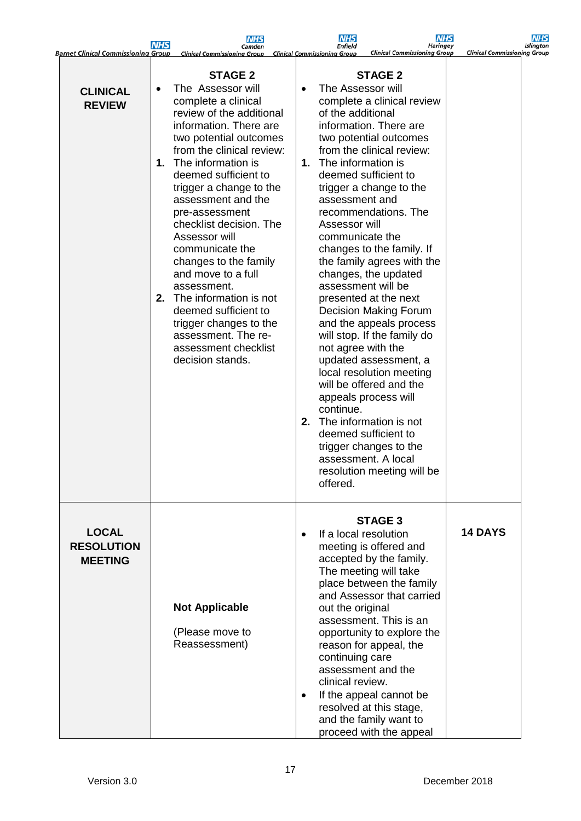|                                                     | <b>NHS</b>            | <b>NHS</b><br>Camden                                                                                                                                                                                                                                                                                                                                                                                                                                                                                                                                                 |                        | <b>NHS</b><br>Enfield                                                                                                                                                                   | <b>NHS</b><br><b>Haringey</b>                                                                                                                                                                                                                                                                                                                                                                                                                                                                                                                                                                                                                           | <b>NHS</b><br><b>Islington</b>      |
|-----------------------------------------------------|-----------------------|----------------------------------------------------------------------------------------------------------------------------------------------------------------------------------------------------------------------------------------------------------------------------------------------------------------------------------------------------------------------------------------------------------------------------------------------------------------------------------------------------------------------------------------------------------------------|------------------------|-----------------------------------------------------------------------------------------------------------------------------------------------------------------------------------------|---------------------------------------------------------------------------------------------------------------------------------------------------------------------------------------------------------------------------------------------------------------------------------------------------------------------------------------------------------------------------------------------------------------------------------------------------------------------------------------------------------------------------------------------------------------------------------------------------------------------------------------------------------|-------------------------------------|
| <b>Barnet Clinical Commissioning Group</b>          |                       | <b>Clinical Commissioning Group</b>                                                                                                                                                                                                                                                                                                                                                                                                                                                                                                                                  |                        | <b>Clinical Commissioning Group</b>                                                                                                                                                     | <b>Clinical Commissioning Group</b>                                                                                                                                                                                                                                                                                                                                                                                                                                                                                                                                                                                                                     | <b>Clinical Commissioning Group</b> |
| <b>CLINICAL</b><br><b>REVIEW</b>                    | $\bullet$<br>1.<br>2. | <b>STAGE 2</b><br>The Assessor will<br>complete a clinical<br>review of the additional<br>information. There are<br>two potential outcomes<br>from the clinical review:<br>The information is<br>deemed sufficient to<br>trigger a change to the<br>assessment and the<br>pre-assessment<br>checklist decision. The<br>Assessor will<br>communicate the<br>changes to the family<br>and move to a full<br>assessment.<br>The information is not<br>deemed sufficient to<br>trigger changes to the<br>assessment. The re-<br>assessment checklist<br>decision stands. | $\bullet$<br>1.<br>2.  | The Assessor will<br>of the additional<br>The information is<br>assessment and<br>Assessor will<br>communicate the<br>assessment will be<br>not agree with the<br>continue.<br>offered. | <b>STAGE 2</b><br>complete a clinical review<br>information. There are<br>two potential outcomes<br>from the clinical review:<br>deemed sufficient to<br>trigger a change to the<br>recommendations. The<br>changes to the family. If<br>the family agrees with the<br>changes, the updated<br>presented at the next<br><b>Decision Making Forum</b><br>and the appeals process<br>will stop. If the family do<br>updated assessment, a<br>local resolution meeting<br>will be offered and the<br>appeals process will<br>The information is not<br>deemed sufficient to<br>trigger changes to the<br>assessment. A local<br>resolution meeting will be |                                     |
| <b>LOCAL</b><br><b>RESOLUTION</b><br><b>MEETING</b> |                       | <b>Not Applicable</b><br>(Please move to<br>Reassessment)                                                                                                                                                                                                                                                                                                                                                                                                                                                                                                            | $\bullet$<br>$\bullet$ | If a local resolution<br>out the original<br>continuing care<br>clinical review.                                                                                                        | <b>STAGE 3</b><br>meeting is offered and<br>accepted by the family.<br>The meeting will take<br>place between the family<br>and Assessor that carried<br>assessment. This is an<br>opportunity to explore the<br>reason for appeal, the<br>assessment and the<br>If the appeal cannot be<br>resolved at this stage,<br>and the family want to<br>proceed with the appeal                                                                                                                                                                                                                                                                                | <b>14 DAYS</b>                      |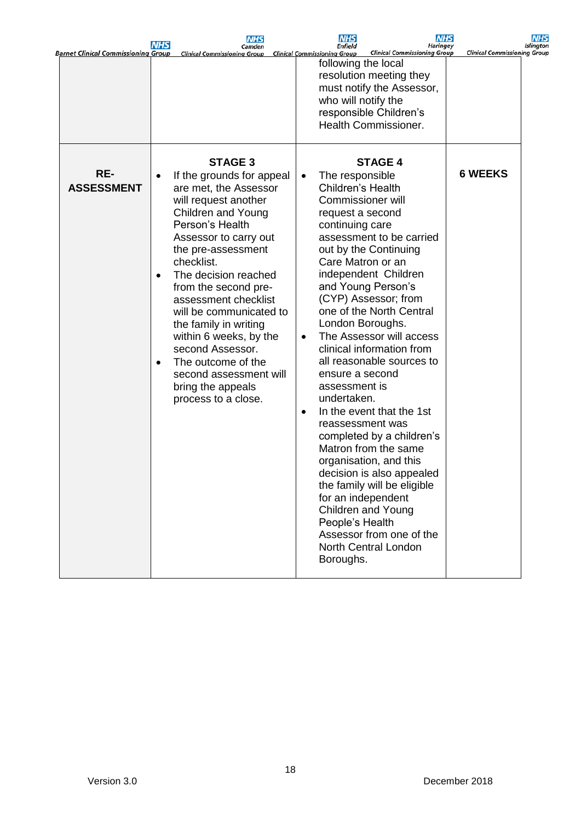| <b>Barnet Clinical Commissioning Group</b> | <b>NHS</b>                          | <b>NHS</b><br>Camden<br><b>Clinical Commissioning Group</b>                                                                                                                                                                                                                                                                                                                                                                                                   |                                     | <b>NHS</b><br>Enfield<br><b>Clinical Commissioning Group</b><br><b>Clinical Commissioning Group</b>                                                                                                                                                                                                                                                                                                                                                                                                                                                                                                                                                                                                                                                                                 | NHS<br><b>Haringey</b> | <b>Clinical Commissioning Group</b> | NHS<br>Islingtor |
|--------------------------------------------|-------------------------------------|---------------------------------------------------------------------------------------------------------------------------------------------------------------------------------------------------------------------------------------------------------------------------------------------------------------------------------------------------------------------------------------------------------------------------------------------------------------|-------------------------------------|-------------------------------------------------------------------------------------------------------------------------------------------------------------------------------------------------------------------------------------------------------------------------------------------------------------------------------------------------------------------------------------------------------------------------------------------------------------------------------------------------------------------------------------------------------------------------------------------------------------------------------------------------------------------------------------------------------------------------------------------------------------------------------------|------------------------|-------------------------------------|------------------|
|                                            |                                     | <b>STAGE 3</b>                                                                                                                                                                                                                                                                                                                                                                                                                                                |                                     | following the local<br>resolution meeting they<br>must notify the Assessor,<br>who will notify the<br>responsible Children's<br>Health Commissioner.<br><b>STAGE 4</b>                                                                                                                                                                                                                                                                                                                                                                                                                                                                                                                                                                                                              |                        |                                     |                  |
| RE-<br><b>ASSESSMENT</b>                   | $\bullet$<br>$\bullet$<br>$\bullet$ | If the grounds for appeal<br>are met, the Assessor<br>will request another<br><b>Children and Young</b><br>Person's Health<br>Assessor to carry out<br>the pre-assessment<br>checklist.<br>The decision reached<br>from the second pre-<br>assessment checklist<br>will be communicated to<br>the family in writing<br>within 6 weeks, by the<br>second Assessor.<br>The outcome of the<br>second assessment will<br>bring the appeals<br>process to a close. | $\bullet$<br>$\bullet$<br>$\bullet$ | The responsible<br>Children's Health<br><b>Commissioner will</b><br>request a second<br>continuing care<br>assessment to be carried<br>out by the Continuing<br>Care Matron or an<br>independent Children<br>and Young Person's<br>(CYP) Assessor; from<br>one of the North Central<br>London Boroughs.<br>The Assessor will access<br>clinical information from<br>all reasonable sources to<br>ensure a second<br>assessment is<br>undertaken.<br>In the event that the 1st<br>reassessment was<br>completed by a children's<br>Matron from the same<br>organisation, and this<br>decision is also appealed<br>the family will be eligible<br>for an independent<br><b>Children and Young</b><br>People's Health<br>Assessor from one of the<br>North Central London<br>Boroughs. |                        | <b>6 WEEKS</b>                      |                  |